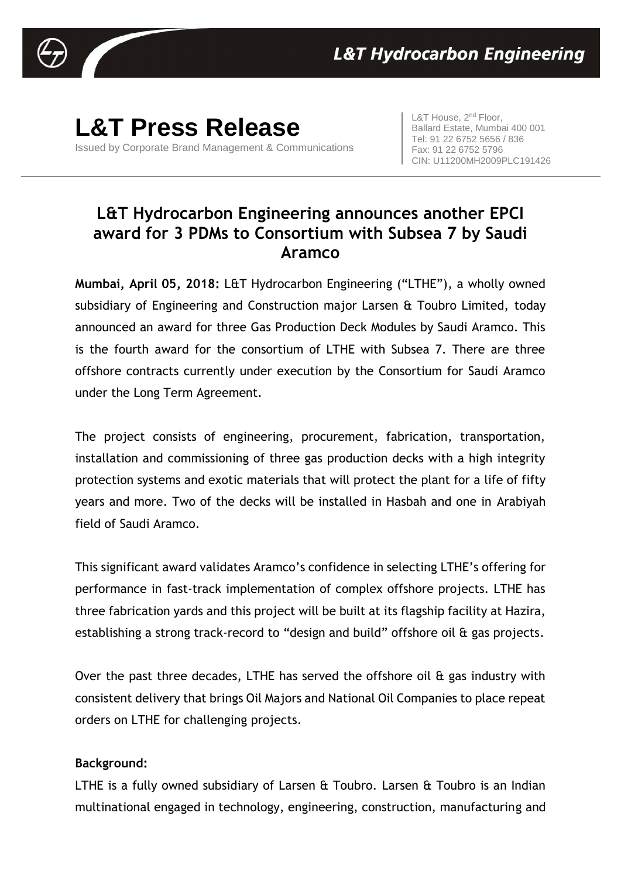

## **L&T Press Release**

Issued by Corporate Brand Management & Communications

L&T House, 2<sup>nd</sup> Floor, Ballard Estate, Mumbai 400 001 Tel: 91 22 6752 5656 / 836 Fax: 91 22 6752 5796 CIN: U11200MH2009PLC191426

## **L&T Hydrocarbon Engineering announces another EPCI award for 3 PDMs to Consortium with Subsea 7 by Saudi Aramco**

**Mumbai, April 05, 2018:** L&T Hydrocarbon Engineering ("LTHE"), a wholly owned subsidiary of Engineering and Construction major Larsen & Toubro Limited, today announced an award for three Gas Production Deck Modules by Saudi Aramco. This is the fourth award for the consortium of LTHE with Subsea 7. There are three offshore contracts currently under execution by the Consortium for Saudi Aramco under the Long Term Agreement.

The project consists of engineering, procurement, fabrication, transportation, installation and commissioning of three gas production decks with a high integrity protection systems and exotic materials that will protect the plant for a life of fifty years and more. Two of the decks will be installed in Hasbah and one in Arabiyah field of Saudi Aramco.

This significant award validates Aramco's confidence in selecting LTHE's offering for performance in fast-track implementation of complex offshore projects. LTHE has three fabrication yards and this project will be built at its flagship facility at Hazira, establishing a strong track-record to "design and build" offshore oil & gas projects.

Over the past three decades, LTHE has served the offshore oil & gas industry with consistent delivery that brings Oil Majors and National Oil Companies to place repeat orders on LTHE for challenging projects.

## **Background:**

LTHE is a fully owned subsidiary of Larsen & Toubro. Larsen & Toubro is an Indian multinational engaged in technology, engineering, construction, manufacturing and